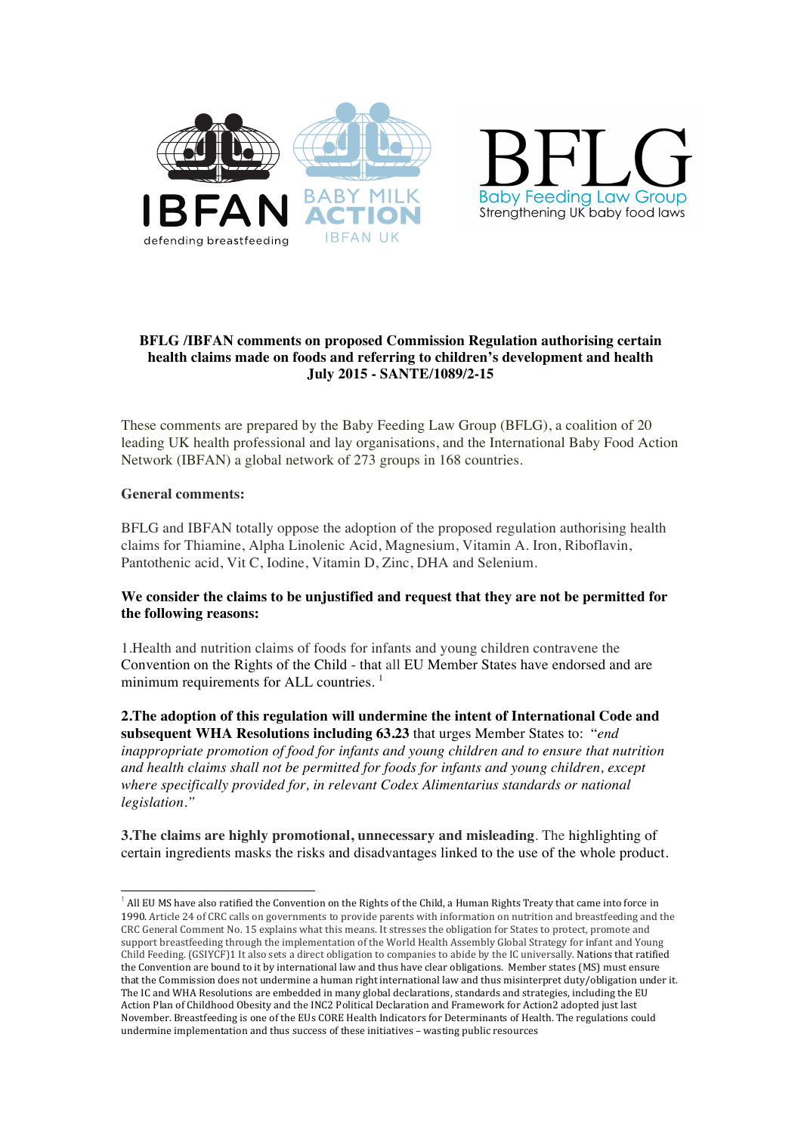



# **BFLG /IBFAN comments on proposed Commission Regulation authorising certain health claims made on foods and referring to children's development and health July 2015 - SANTE/1089/2-15**

These comments are prepared by the Baby Feeding Law Group (BFLG), a coalition of 20 leading UK health professional and lay organisations, and the International Baby Food Action Network (IBFAN) a global network of 273 groups in 168 countries.

### **General comments:**

BFLG and IBFAN totally oppose the adoption of the proposed regulation authorising health claims for Thiamine, Alpha Linolenic Acid, Magnesium, Vitamin A. Iron, Riboflavin, Pantothenic acid, Vit C, Iodine, Vitamin D, Zinc, DHA and Selenium.

## **We consider the claims to be unjustified and request that they are not be permitted for the following reasons:**

1.Health and nutrition claims of foods for infants and young children contravene the Convention on the Rights of the Child - that all EU Member States have endorsed and are minimum requirements for ALL countries.<sup>1</sup>

**2.The adoption of this regulation will undermine the intent of International Code and subsequent WHA Resolutions including 63.23** that urges Member States to: "*end inappropriate promotion of food for infants and young children and to ensure that nutrition and health claims shall not be permitted for foods for infants and young children, except where specifically provided for, in relevant Codex Alimentarius standards or national legislation."*

**3.The claims are highly promotional, unnecessary and misleading**. The highlighting of certain ingredients masks the risks and disadvantages linked to the use of the whole product.

 $<sup>1</sup>$  All EU MS have also ratified the Convention on the Rights of the Child, a Human Rights Treaty that came into force in</sup> 1990. Article 24 of CRC calls on governments to provide parents with information on nutrition and breastfeeding and the CRC General Comment No. 15 explains what this means. It stresses the obligation for States to protect, promote and support breastfeeding through the implementation of the World Health Assembly Global Strategy for infant and Young Child Feeding. (GSIYCF)1 It also sets a direct obligation to companies to abide by the IC universally. Nations that ratified the Convention are bound to it by international law and thus have clear obligations. Member states (MS) must ensure that the Commission does not undermine a human right international law and thus misinterpret duty/obligation under it. The IC and WHA Resolutions are embedded in many global declarations, standards and strategies, including the EU Action Plan of Childhood Obesity and the INC2 Political Declaration and Framework for Action2 adopted just last November. Breastfeeding is one of the EUs CORE Health Indicators for Determinants of Health. The regulations could undermine implementation and thus success of these initiatives - wasting public resources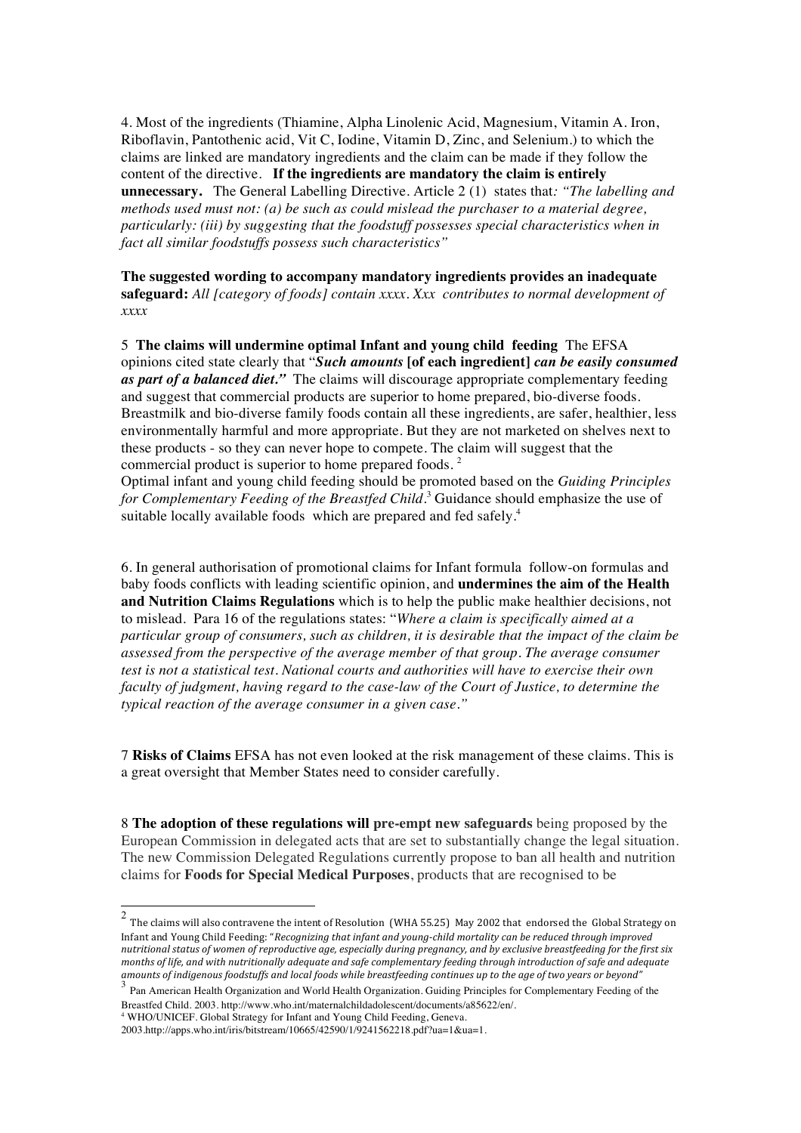4. Most of the ingredients (Thiamine, Alpha Linolenic Acid, Magnesium, Vitamin A. Iron, Riboflavin, Pantothenic acid, Vit C, Iodine, Vitamin D, Zinc, and Selenium.) to which the claims are linked are mandatory ingredients and the claim can be made if they follow the content of the directive. **If the ingredients are mandatory the claim is entirely unnecessary.** The General Labelling Directive. Article 2 (1) states that*: "The labelling and methods used must not: (a) be such as could mislead the purchaser to a material degree, particularly: (iii) by suggesting that the foodstuff possesses special characteristics when in fact all similar foodstuffs possess such characteristics"*

**The suggested wording to accompany mandatory ingredients provides an inadequate safeguard:** *All [category of foods] contain xxxx. Xxx contributes to normal development of xxxx* 

5 **The claims will undermine optimal Infant and young child feeding** The EFSA opinions cited state clearly that "*Such amounts* **[of each ingredient]** *can be easily consumed as part of a balanced diet."* The claims will discourage appropriate complementary feeding and suggest that commercial products are superior to home prepared, bio-diverse foods. Breastmilk and bio-diverse family foods contain all these ingredients, are safer, healthier, less environmentally harmful and more appropriate. But they are not marketed on shelves next to these products - so they can never hope to compete. The claim will suggest that the commercial product is superior to home prepared foods. <sup>2</sup>

Optimal infant and young child feeding should be promoted based on the *Guiding Principles for Complementary Feeding of the Breastfed Child*. <sup>3</sup> Guidance should emphasize the use of suitable locally available foods which are prepared and fed safely.<sup>4</sup>

6. In general authorisation of promotional claims for Infant formula follow-on formulas and baby foods conflicts with leading scientific opinion, and **undermines the aim of the Health and Nutrition Claims Regulations** which is to help the public make healthier decisions, not to mislead. Para 16 of the regulations states: "*Where a claim is specifically aimed at a particular group of consumers, such as children, it is desirable that the impact of the claim be assessed from the perspective of the average member of that group. The average consumer test is not a statistical test. National courts and authorities will have to exercise their own faculty of judgment, having regard to the case-law of the Court of Justice, to determine the typical reaction of the average consumer in a given case."*

7 **Risks of Claims** EFSA has not even looked at the risk management of these claims. This is a great oversight that Member States need to consider carefully.

8 **The adoption of these regulations will pre-empt new safeguards** being proposed by the European Commission in delegated acts that are set to substantially change the legal situation. The new Commission Delegated Regulations currently propose to ban all health and nutrition claims for **Foods for Special Medical Purposes**, products that are recognised to be

 $^2$  The claims will also contravene the intent of Resolution (WHA 55.25) May 2002 that endorsed the Global Strategy on Infant and Young Child Feeding: "*Recognizing that infant and young-child mortality can be reduced through improved nutritional status of women of reproductive age, especially during pregnancy, and by exclusive breastfeeding for the first six months of life, and with nutritionally adequate and safe complementary feeding through introduction of safe and adequate amounts of indigenous foodstuffs and local foods while breastfeeding continues up to the age of two years or beyond"*<br><sup>3</sup> Dep Apple 11 11 2

<sup>3</sup> Pan American Health Organization and World Health Organization. Guiding Principles for Complementary Feeding of the Breastfed Child. 2003. http://www.who.int/maternalchildadolescent/documents/a85622/en/.

<sup>4</sup> WHO/UNICEF. Global Strategy for Infant and Young Child Feeding, Geneva.

<sup>2003.</sup>http://apps.who.int/iris/bitstream/10665/42590/1/9241562218.pdf?ua=1&ua=1.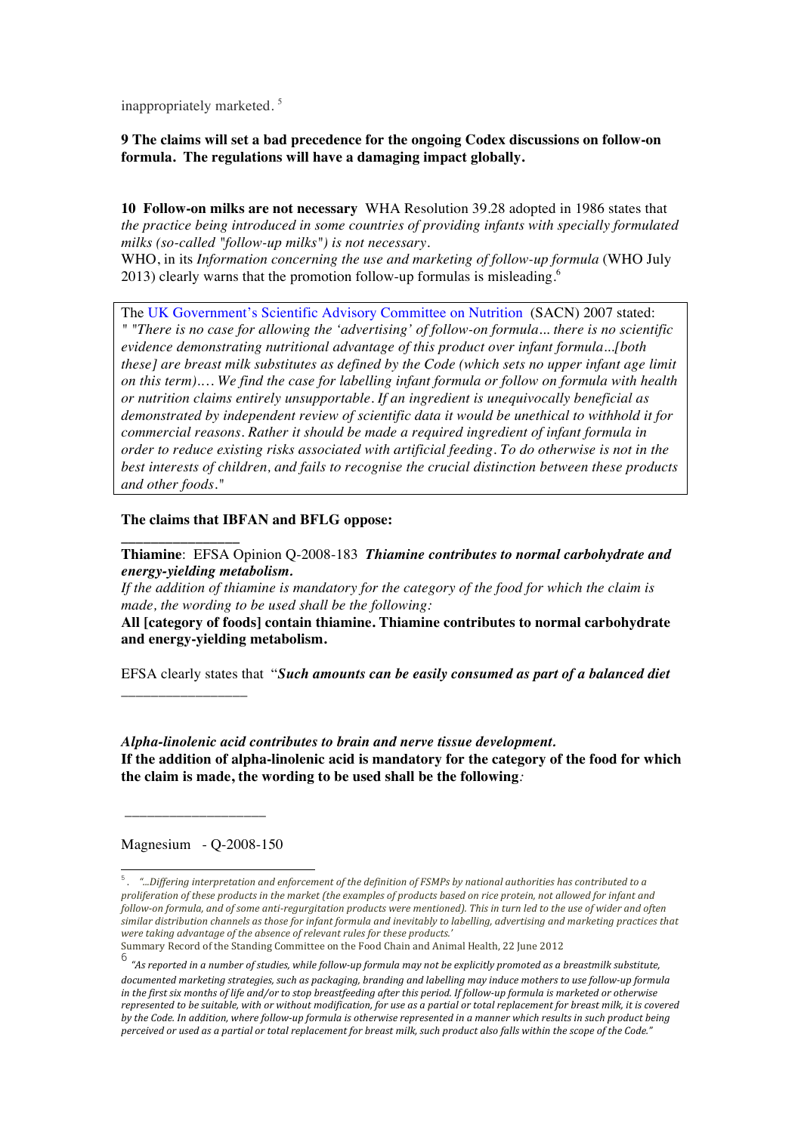inappropriately marketed.<sup>5</sup>

**9 The claims will set a bad precedence for the ongoing Codex discussions on follow-on formula. The regulations will have a damaging impact globally.** 

**10 Follow-on milks are not necessary** WHA Resolution 39.28 adopted in 1986 states that *the practice being introduced in some countries of providing infants with specially formulated milks (so-called "follow-up milks") is not necessary.* 

WHO, in its *Information concerning the use and marketing of follow-up formula* (WHO July 2013) clearly warns that the promotion follow-up formulas is misleading.<sup>6</sup>

The UK Government's Scientific Advisory Committee on Nutrition (SACN) 2007 stated:

*" "There is no case for allowing the 'advertising' of follow-on formula... there is no scientific evidence demonstrating nutritional advantage of this product over infant formula...[both these] are breast milk substitutes as defined by the Code (which sets no upper infant age limit on this term).… We find the case for labelling infant formula or follow on formula with health or nutrition claims entirely unsupportable. If an ingredient is unequivocally beneficial as demonstrated by independent review of scientific data it would be unethical to withhold it for commercial reasons. Rather it should be made a required ingredient of infant formula in order to reduce existing risks associated with artificial feeding. To do otherwise is not in the best interests of children, and fails to recognise the crucial distinction between these products and other foods."*

**The claims that IBFAN and BFLG oppose:** 

**\_\_\_\_\_\_\_\_\_\_\_\_\_\_\_\_**

\_\_\_\_\_\_\_\_\_\_\_\_\_\_\_\_\_

**Thiamine**: EFSA Opinion Q-2008-183 *Thiamine contributes to normal carbohydrate and energy-yielding metabolism.* 

*If the addition of thiamine is mandatory for the category of the food for which the claim is made, the wording to be used shall be the following:* 

**All [category of foods] contain thiamine. Thiamine contributes to normal carbohydrate and energy-yielding metabolism.** 

EFSA clearly states that "*Such amounts can be easily consumed as part of a balanced diet*

*Alpha-linolenic acid contributes to brain and nerve tissue development.*  **If the addition of alpha-linolenic acid is mandatory for the category of the food for which the claim is made, the wording to be used shall be the following***:* 

Magnesium - Q-2008-150

\_\_\_\_\_\_\_\_\_\_\_\_\_\_\_\_\_\_\_

<sup>&</sup>lt;sup>5</sup>. "...Differing interpretation and enforcement of the definition of FSMPs by national authorities has contributed to a *proliferation* of these products in the market (the examples of products based on rice protein, not allowed for infant and *follow-on formula, and of some anti-regurgitation products were mentioned). This in turn led to the use of wider and often* similar distribution channels as those for *infant* formula and inevitably to labelling, advertising and marketing practices that *were taking advantage of the absence of relevant rules for these products.'* 

Summary Record of the Standing Committee on the Food Chain and Animal Health, 22 June 2012

 $^6$   $^{\prime\prime}$ As reported in a number of studies, while follow-up formula may not be explicitly promoted as a breastmilk substitute, *documented marketing strategies, such as packaging, branding and labelling may induce mothers to use follow-up formula in* the first six months of life and/or to stop breastfeeding after this period. If follow-up formula is marketed or otherwise represented to be suitable, with or without modification, for use as a partial or total replacement for breast milk, it is covered *by* the Code. In addition, where follow-up formula is otherwise represented in a manner which results in such product being perceived or used as a partial or total replacement for breast milk, such product also falls within the scope of the Code."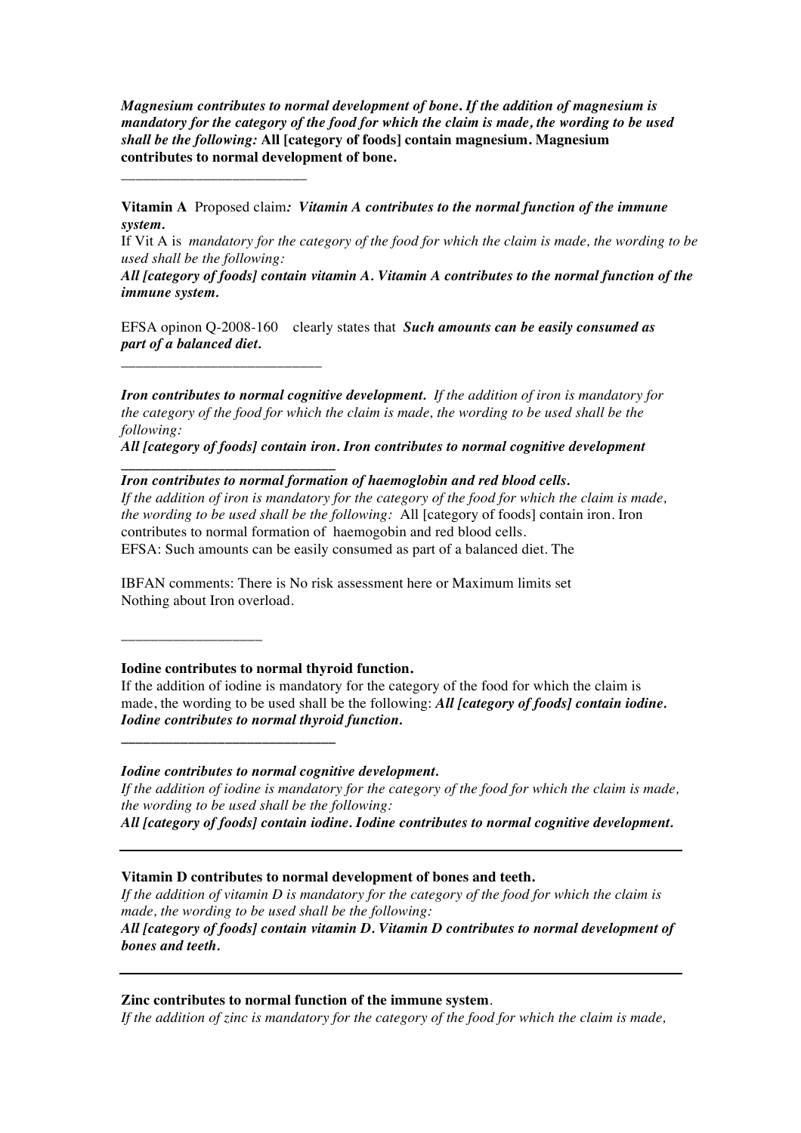*Magnesium contributes to normal development of bone***.** *If the addition of magnesium is mandatory for the category of the food for which the claim is made, the wording to be used shall be the following:* **All [category of foods] contain magnesium. Magnesium contributes to normal development of bone.** 

**Vitamin A** Proposed claim*: Vitamin A contributes to the normal function of the immune system.*

If Vit A is *mandatory for the category of the food for which the claim is made, the wording to be used shall be the following:* 

*All [category of foods] contain vitamin A. Vitamin A contributes to the normal function of the immune system.* 

EFSA opinon Q-2008-160 clearly states that *Such amounts can be easily consumed as part of a balanced diet.* 

*Iron contributes to normal cognitive development. If the addition of iron is mandatory for the category of the food for which the claim is made, the wording to be used shall be the following:* 

*All [category of foods] contain iron. Iron contributes to normal cognitive development* 

### *Iron contributes to normal formation of haemoglobin and red blood cells.*

*If the addition of iron is mandatory for the category of the food for which the claim is made, the wording to be used shall be the following:* All [category of foods] contain iron. Iron contributes to normal formation of haemogobin and red blood cells. EFSA: Such amounts can be easily consumed as part of a balanced diet. The

IBFAN comments: There is No risk assessment here or Maximum limits set Nothing about Iron overload.

#### **Iodine contributes to normal thyroid function.**

*\_\_\_\_\_\_\_\_\_\_\_\_\_\_\_\_\_\_\_\_\_\_\_\_\_\_\_\_\_*

\_\_\_\_\_\_\_\_\_\_\_\_\_\_\_\_\_\_\_\_\_\_\_\_\_

\_\_\_\_\_\_\_\_\_\_\_\_\_\_\_\_\_\_\_\_\_\_\_\_\_\_\_

*\_\_\_\_\_\_\_\_\_\_\_\_\_\_\_\_\_\_\_\_\_\_\_\_\_\_\_\_\_*

\_\_\_\_\_\_\_\_\_\_\_\_\_\_\_\_\_\_\_

If the addition of iodine is mandatory for the category of the food for which the claim is made, the wording to be used shall be the following: *All [category of foods] contain iodine. Iodine contributes to normal thyroid function.*

#### *Iodine contributes to normal cognitive development.*

*If the addition of iodine is mandatory for the category of the food for which the claim is made, the wording to be used shall be the following:* 

*All [category of foods] contain iodine. Iodine contributes to normal cognitive development.* 

### **Vitamin D contributes to normal development of bones and teeth.**

*If the addition of vitamin D is mandatory for the category of the food for which the claim is made, the wording to be used shall be the following: All [category of foods] contain vitamin D. Vitamin D contributes to normal development of bones and teeth.* 

**Zinc contributes to normal function of the immune system**.

*If the addition of zinc is mandatory for the category of the food for which the claim is made,*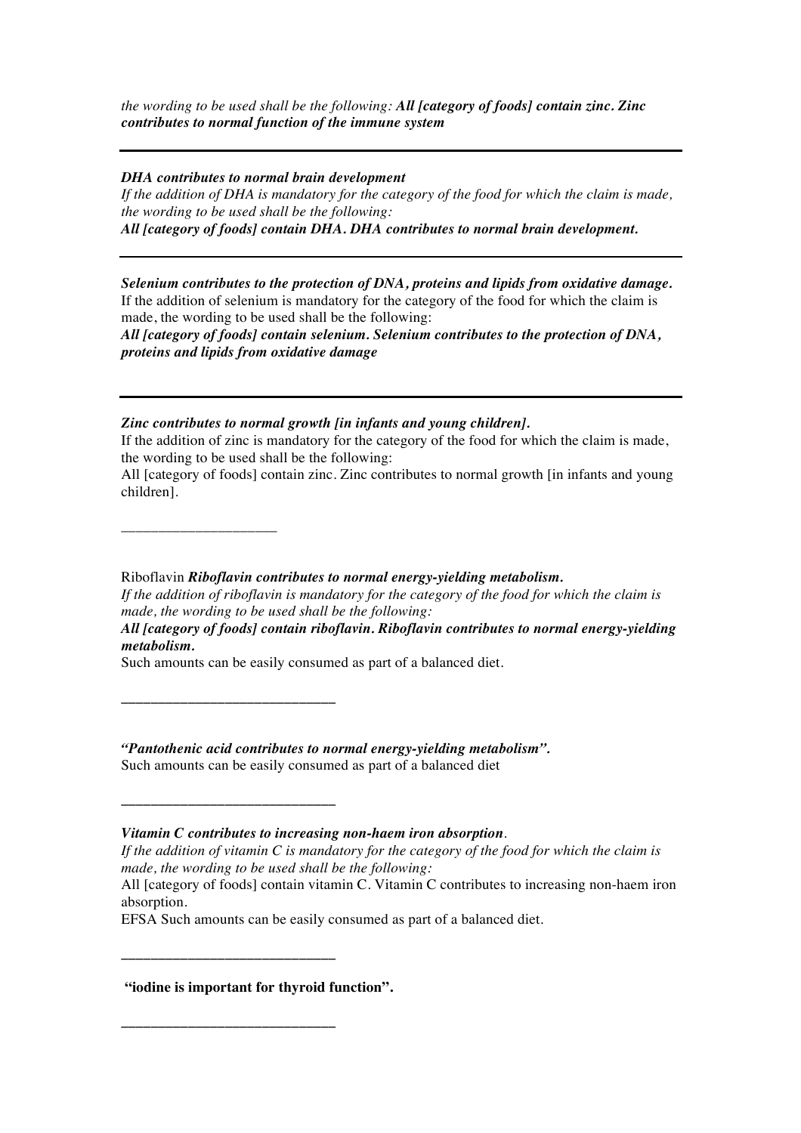*the wording to be used shall be the following: All [category of foods] contain zinc. Zinc contributes to normal function of the immune system* 

*DHA contributes to normal brain development*

\_\_\_\_\_\_\_\_\_\_\_\_\_\_\_\_\_\_\_\_\_

*\_\_\_\_\_\_\_\_\_\_\_\_\_\_\_\_\_\_\_\_\_\_\_\_\_\_\_\_\_*

*\_\_\_\_\_\_\_\_\_\_\_\_\_\_\_\_\_\_\_\_\_\_\_\_\_\_\_\_\_*

*\_\_\_\_\_\_\_\_\_\_\_\_\_\_\_\_\_\_\_\_\_\_\_\_\_\_\_\_\_*

*\_\_\_\_\_\_\_\_\_\_\_\_\_\_\_\_\_\_\_\_\_\_\_\_\_\_\_\_\_*

*If the addition of DHA is mandatory for the category of the food for which the claim is made, the wording to be used shall be the following: All [category of foods] contain DHA. DHA contributes to normal brain development.* 

*Selenium contributes to the protection of DNA, proteins and lipids from oxidative damage.* If the addition of selenium is mandatory for the category of the food for which the claim is made, the wording to be used shall be the following:

*All [category of foods] contain selenium. Selenium contributes to the protection of DNA, proteins and lipids from oxidative damage* 

*Zinc contributes to normal growth [in infants and young children].*

If the addition of zinc is mandatory for the category of the food for which the claim is made, the wording to be used shall be the following:

All [category of foods] contain zinc. Zinc contributes to normal growth [in infants and young children].

Riboflavin *Riboflavin contributes to normal energy-yielding metabolism. If the addition of riboflavin is mandatory for the category of the food for which the claim is made, the wording to be used shall be the following: All [category of foods] contain riboflavin. Riboflavin contributes to normal energy-yielding metabolism.* 

Such amounts can be easily consumed as part of a balanced diet.

*"Pantothenic acid contributes to normal energy-yielding metabolism".* Such amounts can be easily consumed as part of a balanced diet

*Vitamin C contributes to increasing non-haem iron absorption*.

*If the addition of vitamin C is mandatory for the category of the food for which the claim is made, the wording to be used shall be the following:* 

All [category of foods] contain vitamin C. Vitamin C contributes to increasing non-haem iron absorption.

EFSA Such amounts can be easily consumed as part of a balanced diet.

**"iodine is important for thyroid function".**